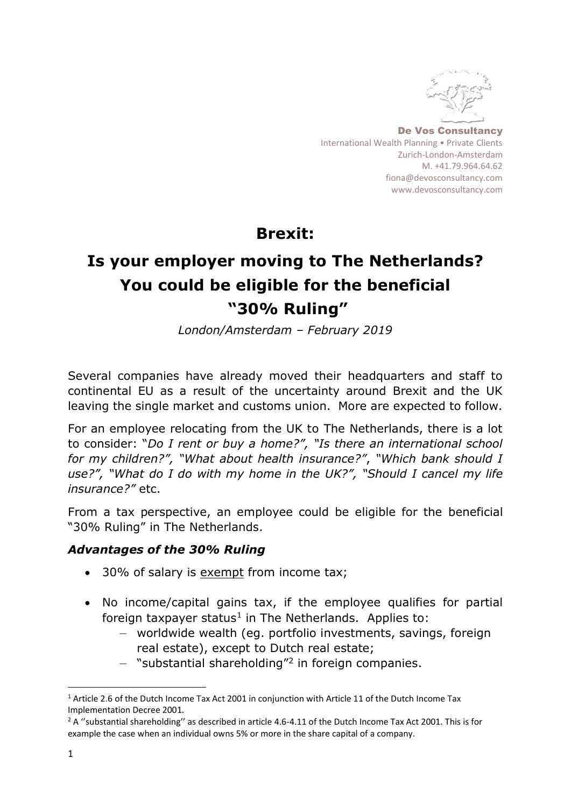

De Vos Consultancy International Wealth Planning • Private Clients Zurich-London-Amsterdam M. +41.79.964.64.62 [fiona@devosconsultancy.com](mailto:fiona@devosconsultancy.com) [www.devosconsultancy.com](http://www.devosconsultancy.com/)

**Brexit:** 

# **Is your employer moving to The Netherlands? You could be eligible for the beneficial "30% Ruling"**

*London/Amsterdam – February 2019*

Several companies have already moved their headquarters and staff to continental EU as a result of the uncertainty around Brexit and the UK leaving the single market and customs union. More are expected to follow.

For an employee relocating from the UK to The Netherlands, there is a lot to consider: "*Do I rent or buy a home?", "Is there an international school for my children?", "What about health insurance?"*, *"Which bank should I use?", "What do I do with my home in the UK?", "Should I cancel my life insurance?"* etc.

From a tax perspective, an employee could be eligible for the beneficial "30% Ruling" in The Netherlands.

# *Advantages of the 30% Ruling*

- 30% of salary is exempt from income tax;
- No income/capital gains tax, if the employee qualifies for partial foreign taxpayer status<sup>1</sup> in The Netherlands. Applies to:
	- worldwide wealth (eg. portfolio investments, savings, foreign real estate), except to Dutch real estate;
	- "substantial shareholding"<sup>2</sup> in foreign companies.

l

<sup>1</sup> Article 2.6 of the Dutch Income Tax Act 2001 in conjunction with Article 11 of the Dutch Income Tax Implementation Decree 2001.

<sup>&</sup>lt;sup>2</sup> A "substantial shareholding" as described in article 4.6-4.11 of the Dutch Income Tax Act 2001. This is for example the case when an individual owns 5% or more in the share capital of a company.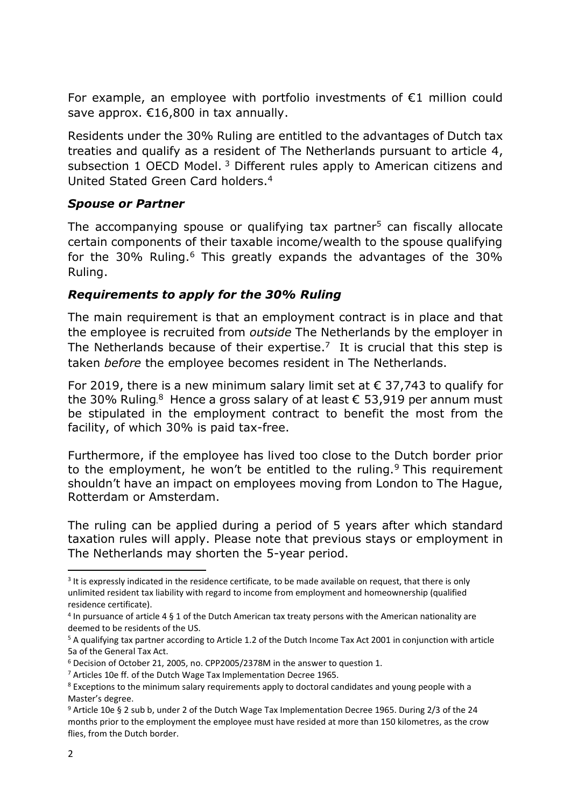For example, an employee with portfolio investments of  $E1$  million could save approx. €16,800 in tax annually.

Residents under the 30% Ruling are entitled to the advantages of Dutch tax treaties and qualify as a resident of The Netherlands pursuant to article 4, subsection 1 OECD Model.<sup>3</sup> Different rules apply to American citizens and United Stated Green Card holders.<sup>4</sup>

### *Spouse or Partner*

The accompanying spouse or qualifying tax partner<sup>5</sup> can fiscally allocate certain components of their taxable income/wealth to the spouse qualifying for the 30% Ruling.<sup>6</sup> This greatly expands the advantages of the 30% Ruling.

# *Requirements to apply for the 30% Ruling*

The main requirement is that an employment contract is in place and that the employee is recruited from *outside* The Netherlands by the employer in The Netherlands because of their expertise.<sup>7</sup> It is crucial that this step is taken *before* the employee becomes resident in The Netherlands.

For 2019, there is a new minimum salary limit set at  $\epsilon$  37,743 to qualify for the 30% Ruling.<sup>8</sup> Hence a gross salary of at least  $\epsilon$  53,919 per annum must be stipulated in the employment contract to benefit the most from the facility, of which 30% is paid tax-free.

Furthermore, if the employee has lived too close to the Dutch border prior to the employment, he won't be entitled to the ruling.<sup>9</sup> This requirement shouldn't have an impact on employees moving from London to The Hague, Rotterdam or Amsterdam.

The ruling can be applied during a period of 5 years after which standard taxation rules will apply. Please note that previous stays or employment in The Netherlands may shorten the 5-year period.

l

<sup>&</sup>lt;sup>3</sup> It is expressly indicated in the residence certificate, to be made available on request, that there is only unlimited resident tax liability with regard to income from employment and homeownership (qualified residence certificate).

<sup>4</sup> In pursuance of article 4 § 1 of the Dutch American tax treaty persons with the American nationality are deemed to be residents of the US.

<sup>5</sup> A qualifying tax partner according to Article 1.2 of the Dutch Income Tax Act 2001 in conjunction with article 5a of the General Tax Act.

<sup>6</sup> Decision of October 21, 2005, no. CPP2005/2378M in the answer to question 1.

<sup>&</sup>lt;sup>7</sup> Articles 10e ff. of the Dutch Wage Tax Implementation Decree 1965.

<sup>&</sup>lt;sup>8</sup> Exceptions to the minimum salary requirements apply to doctoral candidates and young people with a Master's degree.

<sup>9</sup> Article 10e § 2 sub b, under 2 of the Dutch Wage Tax Implementation Decree 1965. During 2/3 of the 24 months prior to the employment the employee must have resided at more than 150 kilometres, as the crow flies, from the Dutch border.